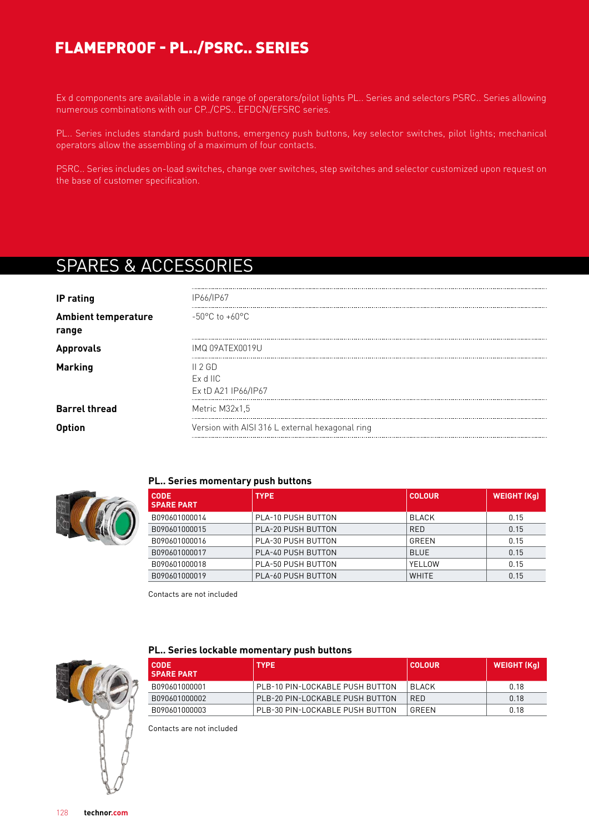# FLAMEPROOF - PL../PSRC.. SERIES

Ex d components are available in a wide range of operators/pilot lights PL.. Series and selectors PSRC.. Series allowing numerous combinations with our CP../CPS.. EFDCN/EFSRC series.

PL.. Series includes standard push buttons, emergency push buttons, key selector switches, pilot lights; mechanical operators allow the assembling of a maximum of four contacts.

PSRC.. Series includes on-load switches, change over switches, step switches and selector customized upon request on the base of customer specification.

# SPARES & ACCESSORIES

| IP rating                           | IP66/IP67                                       |
|-------------------------------------|-------------------------------------------------|
| <b>Ambient temperature</b><br>range | $-50^{\circ}$ C to $+60^{\circ}$ C              |
| <b>Approvals</b>                    | IMQ 09ATEX0019U                                 |
| <b>Marking</b>                      | II 2GD<br>$Ex$ d IIC<br>Ex tD A21 IP66/IP67     |
| <b>Barrel thread</b>                | Metric M32x1.5                                  |
|                                     | Version with AISI 316 L external hexagonal ring |



#### **PL.. Series momentary push buttons**

| <b>CODE</b><br><b>SPARE PART</b> | <b>TYPE</b>               | <b>COLOUR</b> | <b>WEIGHT (Kg)</b> |
|----------------------------------|---------------------------|---------------|--------------------|
| B090601000014                    | PLA-10 PUSH BUTTON        | BLACK         | 0.15               |
| B090601000015                    | <b>PLA-20 PUSH BUTTON</b> | <b>RED</b>    | 0.15               |
| B090601000016                    | PLA-30 PUSH BUTTON        | GRFFN         | 0.15               |
| B090601000017                    | PLA-40 PUSH BUTTON        | <b>BLUE</b>   | 0.15               |
| B090601000018                    | PLA-50 PUSH BUTTON        | YELLOW        | 0.15               |
| B090601000019                    | PLA-60 PUSH BUTTON        | <b>WHITE</b>  | 0.15               |

Contacts are not included



#### **PL.. Series lockable momentary push buttons**

| I CODE.<br><b>SPARE PART</b> | <b>TYPE</b>                     | COLOUR        | WEIGHT (Ka) |
|------------------------------|---------------------------------|---------------|-------------|
| B090601000001                | PLB-10 PIN-LOCKABLE PUSH BUTTON | <b>BI ACK</b> | በ 18        |
| B090601000002                | PLB-20 PIN-LOCKABLE PUSH BUTTON | <b>RFD</b>    | 0.18        |
| B090601000003                | PLB-30 PIN-LOCKABLE PUSH BUTTON | GRFFN         | 0.18        |

Contacts are not included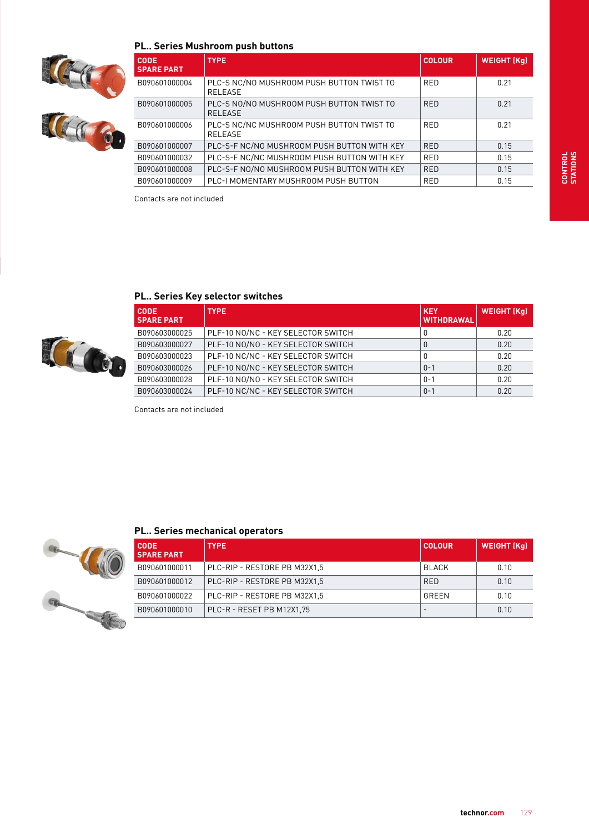#### **PL.. Series Mushroom push buttons**





| <b>CODE</b><br><b>SPARE PART</b> | <b>TYPE</b>                                                 | <b>COLOUR</b> | <b>WEIGHT (Kg)</b> |
|----------------------------------|-------------------------------------------------------------|---------------|--------------------|
| B090601000004                    | PLC-S NC/NO MUSHROOM PUSH BUTTON TWIST TO<br><b>RELEASE</b> | <b>RED</b>    | 0.21               |
| B090601000005                    | PLC-S NO/NO MUSHROOM PUSH BUTTON TWIST TO<br><b>RELEASE</b> | <b>RED</b>    | 0.21               |
| B090601000006                    | PLC-S NC/NC MUSHROOM PUSH BUTTON TWIST TO<br><b>RELEASE</b> | <b>RED</b>    | 0.21               |
| B090601000007                    | PLC-S-F NC/NO MUSHROOM PUSH BUTTON WITH KEY                 | <b>RED</b>    | 0.15               |
| B090601000032                    | PLC-S-F NC/NC MUSHROOM PUSH BUTTON WITH KEY                 | <b>RED</b>    | 0.15               |
| B090601000008                    | PLC-S-F NO/NO MUSHROOM PUSH BUTTON WITH KEY                 | <b>RED</b>    | 0.15               |
| B090601000009                    | PLC-I MOMENTARY MUSHROOM PUSH BUTTON                        | <b>RED</b>    | 0.15               |

Contacts are not included

## **PL.. Series Key selector switches**



| <b>CODE</b><br><b>SPARE PART</b> | <b>TYPE</b>                        | <b>KEY</b><br><b>WITHDRAWAL</b> | <b>WEIGHT (Kg)</b> |
|----------------------------------|------------------------------------|---------------------------------|--------------------|
| B090603000025                    | PLF-10 NO/NC - KEY SELECTOR SWITCH | 0                               | 0.20               |
| B090603000027                    | PLF-10 NO/NO - KEY SELECTOR SWITCH | 0                               | 0.20               |
| B090603000023                    | PLF-10 NC/NC - KEY SELECTOR SWITCH | 0                               | 0.20               |
| B090603000026                    | PLF-10 NO/NC - KEY SELECTOR SWITCH | $() - 1$                        | 0.20               |
| B090603000028                    | PLF-10 NO/NO - KEY SELECTOR SWITCH | $0 - 1$                         | 0.20               |
| B090603000024                    | PLF-10 NC/NC - KEY SELECTOR SWITCH | $0 - 1$                         | 0.20               |

Contacts are not included



| <b>PL Series mechanical operators</b> |                              |               |                    |  |  |  |  |  |
|---------------------------------------|------------------------------|---------------|--------------------|--|--|--|--|--|
| <b>CODE</b><br><b>SPARE PART</b>      | <b>TYPE</b>                  | <b>COLOUR</b> | <b>WEIGHT (Kg)</b> |  |  |  |  |  |
| B090601000011                         | PLC-RIP - RESTORE PB M32X1.5 | <b>BLACK</b>  | በ 1በ               |  |  |  |  |  |
| B090601000012                         | PLC-RIP - RESTORE PB M32X1.5 | <b>RED</b>    | 0.10               |  |  |  |  |  |
| B090601000022                         | PLC-RIP - RESTORE PB M32X1.5 | GREEN         | 0.10               |  |  |  |  |  |
| B090601000010                         | PLC-R - RESET PB M12X1.75    |               | 0.10               |  |  |  |  |  |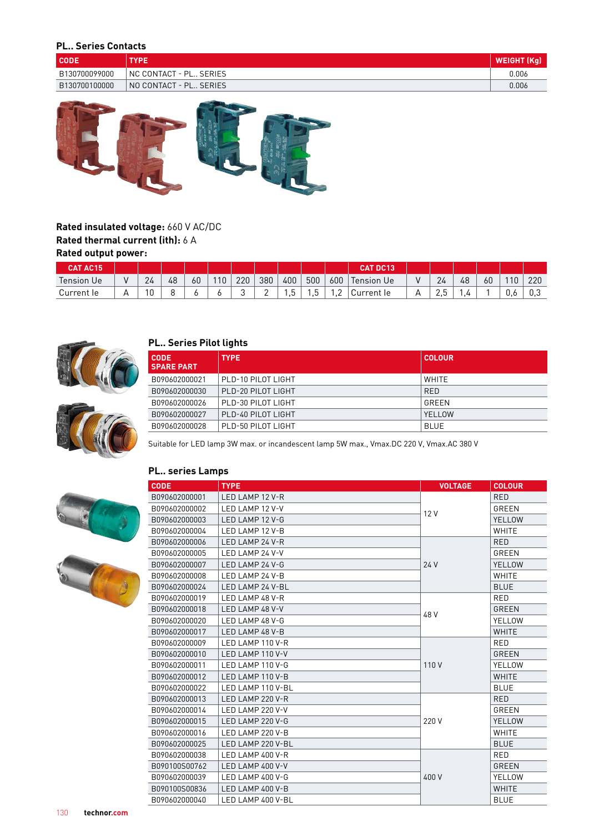### **PL.. Series Contacts**

| <b>CODE</b>   | TYPE                       | WEIGHT (Kg) |
|---------------|----------------------------|-------------|
| B130700099000 | NC CONTACT - PL SERIES     | 0.006       |
| B130700100000 | I NO CONTACT - PL SERIES I | 0.006       |



### **Rated insulated voltage:** 660 V AC/DC **Rated thermal current (ith):** 6 A **Rated output power:**

| <b>CAT AC15</b> |           |    |    |    |    |                 |          |     |     |            | <b>CAT DC13</b>   |                               |    |    |      |      |
|-----------------|-----------|----|----|----|----|-----------------|----------|-----|-----|------------|-------------------|-------------------------------|----|----|------|------|
| Tension Ue      |           | 24 | 48 | 60 | 10 | 220             | 380      | 400 | 500 | 600        | <b>Tension Ue</b> | 24                            | 48 | 60 | l 10 | 220  |
| Current le      | $\forall$ | 10 |    |    |    | $\sqrt{2}$<br>◡ | <u>.</u> | . ب |     | . <u>.</u> | Current le        | $\overline{\phantom{0}}$<br>۰ |    |    | v.c  | .U C |



#### **PL.. Series Pilot lights**

| <b>CODE</b><br><b>SPARE PART</b> | <b>TYPE</b>        | <b>COLOUR</b> |
|----------------------------------|--------------------|---------------|
| B090602000021                    | PLD-10 PILOT LIGHT | WHITE         |
| B090602000030                    | PLD-20 PILOT LIGHT | <b>RED</b>    |
| B090602000026                    | PLD-30 PILOT LIGHT | GRFFN         |
| B090602000027                    | PLD-40 PILOT LIGHT | YFI LOW       |
| B090602000028                    | PLD-50 PILOT LIGHT | <b>BLUE</b>   |



Suitable for LED lamp 3W max. or incandescent lamp 5W max., Vmax.DC 220 V, Vmax.AC 380 V

#### **PL.. series Lamps**





| <b>CODE</b>   | <b>TYPE</b>       | <b>VOLTAGE</b> | <b>COLOUR</b> |
|---------------|-------------------|----------------|---------------|
| B090602000001 | LED LAMP 12 V-R   |                | <b>RED</b>    |
| B090602000002 | LED LAMP 12 V-V   |                | GREEN         |
| B090602000003 | LED LAMP 12 V-G   | 12V            | YELLOW        |
| B090602000004 | LED LAMP 12 V-B   |                | WHITE         |
| B090602000006 | LED LAMP 24 V-R   |                | <b>RED</b>    |
| B090602000005 | LED LAMP 24 V-V   |                | GREEN         |
| B090602000007 | LED LAMP 24 V-G   | 24 V           | YELLOW        |
| B090602000008 | LED LAMP 24 V-B   |                | <b>WHITE</b>  |
| B090602000024 | LED LAMP 24 V-BL  |                | <b>BLUE</b>   |
| B090602000019 | LED LAMP 48 V-R   |                | <b>RED</b>    |
| B090602000018 | LED LAMP 48 V-V   | 48 V           | <b>GREEN</b>  |
| B090602000020 | LED LAMP 48 V-G   |                | YELLOW        |
| B090602000017 | LED LAMP 48 V-B   |                | <b>WHITE</b>  |
| B090602000009 | LED LAMP 110 V-R  |                | <b>RED</b>    |
| B090602000010 | LED LAMP 110 V-V  |                | GREEN         |
| B090602000011 | LED LAMP 110 V-G  | 110V           | YELLOW        |
| B090602000012 | LED LAMP 110 V-B  |                | <b>WHITE</b>  |
| B090602000022 | LED LAMP 110 V-BL |                | <b>BLUE</b>   |
| B090602000013 | LED LAMP 220 V-R  |                | <b>RED</b>    |
| B090602000014 | LED LAMP 220 V-V  |                | <b>GREEN</b>  |
| B090602000015 | LED LAMP 220 V-G  | 220 V          | <b>YELLOW</b> |
| B090602000016 | LED LAMP 220 V-B  |                | WHITE         |
| B090602000025 | LED LAMP 220 V-BL |                | <b>BLUE</b>   |
| B090602000038 | LED LAMP 400 V-R  |                | RED           |
| B090100S00762 | LED LAMP 400 V-V  |                | <b>GREEN</b>  |
| B090602000039 | LED LAMP 400 V-G  | 400 V          | YELLOW        |
| B090100S00836 | LED LAMP 400 V-B  |                | <b>WHITE</b>  |
| B090602000040 | LED LAMP 400 V-BL |                | <b>BLUE</b>   |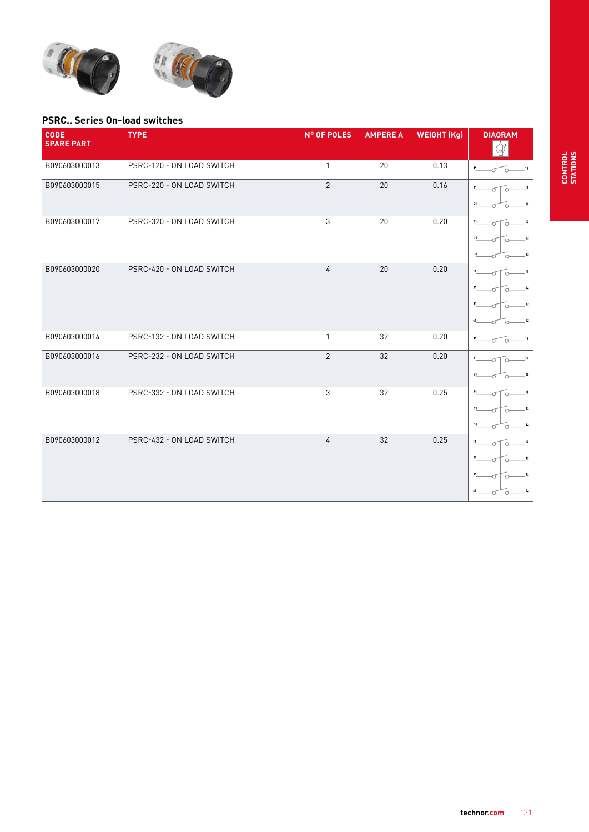



#### **PSRC.. Series On-load switches**

| <b>CODE</b><br><b>SPARE PART</b> | <b>TYPE</b>               | N° OF POLES    | <b>AMPERE A</b> | <b>WEIGHT (Kg)</b> | <b>DIAGRAM</b>                                                   |
|----------------------------------|---------------------------|----------------|-----------------|--------------------|------------------------------------------------------------------|
| B090603000013                    | PSRC-120 - ON LOAD SWITCH | $\mathbf{1}$   | 20              | 0.13               | 11<br>$-12$<br><u>ົດ</u>                                         |
| B090603000015                    | PSRC-220 - ON LOAD SWITCH | 2              | 20              | 0.16               | 12<br>21<br>$\bf{22}$                                            |
| B090603000017                    | PSRC-320 - ON LOAD SWITCH | 3              | 20              | 0.20               | 11<br>12<br>$\circ$<br>21<br>22<br>31<br>32                      |
| B090603000020                    | PSRC-420 - ON LOAD SWITCH | $\overline{4}$ | 20              | 0.20               | $11 -$<br>12<br>$\bigcap$<br>21<br>22<br>31<br>32<br>41<br>$-42$ |
| B090603000014                    | PSRC-132 - ON LOAD SWITCH | $\mathbf{1}$   | 32              | 0.20               | $11 -$<br>12<br>$\circ$                                          |
| B090603000016                    | PSRC-232 - ON LOAD SWITCH | $\overline{2}$ | 32              | 0.20               | $12$<br>21<br>22                                                 |
| B090603000018                    | PSRC-332 - ON LOAD SWITCH | 3              | 32              | 0.25               | 11<br>12<br>21<br>22<br>31<br>32                                 |
| B090603000012                    | PSRC-432 - ON LOAD SWITCH | 4              | 32              | 0.25               | 11<br>$-12$<br>$21\,$<br>22<br>31<br>32<br>41<br>42              |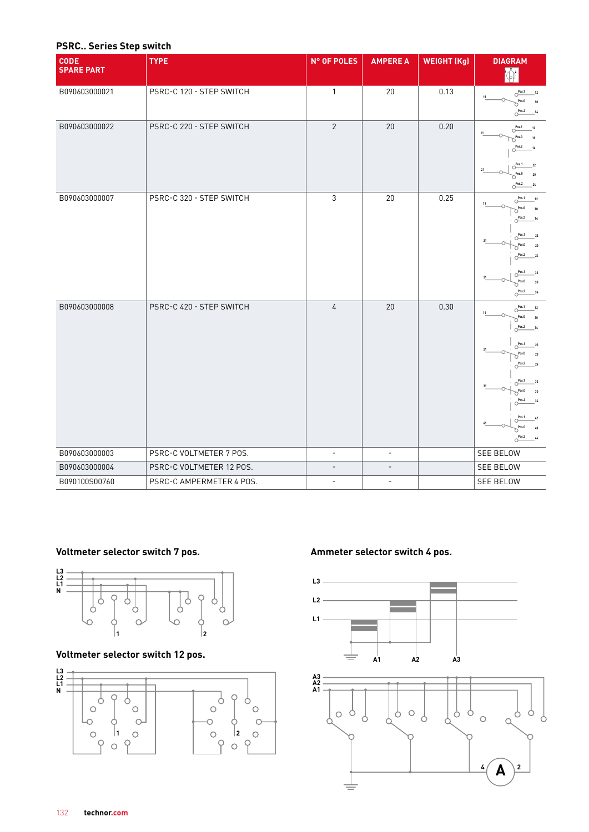#### **PSRC.. Series Step switch**

| <b>CODE</b><br><b>SPARE PART</b> | <b>TYPE</b>              | N° OF POLES              | <b>AMPERE A</b>          | <b>WEIGHT (Kg)</b> | <b>DIAGRAM</b><br>Ñ,                                                                                                                                                                                                                                                                               |
|----------------------------------|--------------------------|--------------------------|--------------------------|--------------------|----------------------------------------------------------------------------------------------------------------------------------------------------------------------------------------------------------------------------------------------------------------------------------------------------|
| B090603000021                    | PSRC-C 120 - STEP SWITCH | $\mathbf{1}$             | 20                       | 0.13               | $O$ <sup>Pos.1</sup><br>$12$<br>Pos.0<br>O <sup>Pos.2</sup><br>14                                                                                                                                                                                                                                  |
| B090603000022                    | PSRC-C 220 - STEP SWITCH | $\overline{2}$           | 20                       | 0.20               | $\circlearrowright^{\text{Pos.1}}$<br>12<br>Pos.O<br>Pos.2<br>14<br>Pos.1<br>22<br>O<br>Pos.0<br>20<br>$\circlearrowright^{\text{Pos.2}}$<br>$2\mathfrak{c}$                                                                                                                                       |
| B090603000007                    | PSRC-C 320 - STEP SWITCH | 3                        | 20                       | 0.25               | $O$ Pos.1<br>$12$<br>Pos.O<br>10<br>O<br>$O$ <sup>Pos.2</sup><br>14<br>O <sup>Pos.1</sup><br>22<br>Pos.O<br>20<br>O<br>Pos.2<br>24<br>Pos.1<br>32<br>∩<br>Pos.0<br>30<br>O <sup>Pos.2</sup><br>34                                                                                                  |
| B090603000008                    | PSRC-C 420 - STEP SWITCH | 4                        | 20                       | 0.30               | O <sup>Pos.1</sup><br>12<br>Pos.0<br>10<br>O<br>O <sup>Pos.2</sup><br>14<br>O <sup>Pos.1</sup><br>22<br>Pos.€<br>O<br>$\circlearrowright^{\text{Pos.2}}$<br>24<br>O <sup>Pos.1</sup><br>32<br>Pos.O<br>30<br>С<br>Pos.2<br>34<br>C<br>Pos.1<br>$\overline{40}$<br>Pasi<br>$O^{\text{Pos.2}}$<br>44 |
| B090603000003                    | PSRC-C VOLTMETER 7 POS.  | $\overline{\phantom{a}}$ | $\overline{\phantom{a}}$ |                    | SEE BELOW                                                                                                                                                                                                                                                                                          |
| B090603000004                    | PSRC-C VOLTMETER 12 POS. | $\overline{\phantom{0}}$ | $\overline{a}$           |                    | <b>SEE BELOW</b>                                                                                                                                                                                                                                                                                   |
| B090100S00760                    | PSRC-C AMPERMETER 4 POS. | $\overline{\phantom{a}}$ | $\overline{\phantom{a}}$ |                    | SEE BELOW                                                                                                                                                                                                                                                                                          |



**Voltmeter selector switch 12 pos.**



## Voltmeter selector switch 7 pos. **AMMEL AMMETER SELECTS WITH 4 POS.** Ammeter selector switch 4 pos.

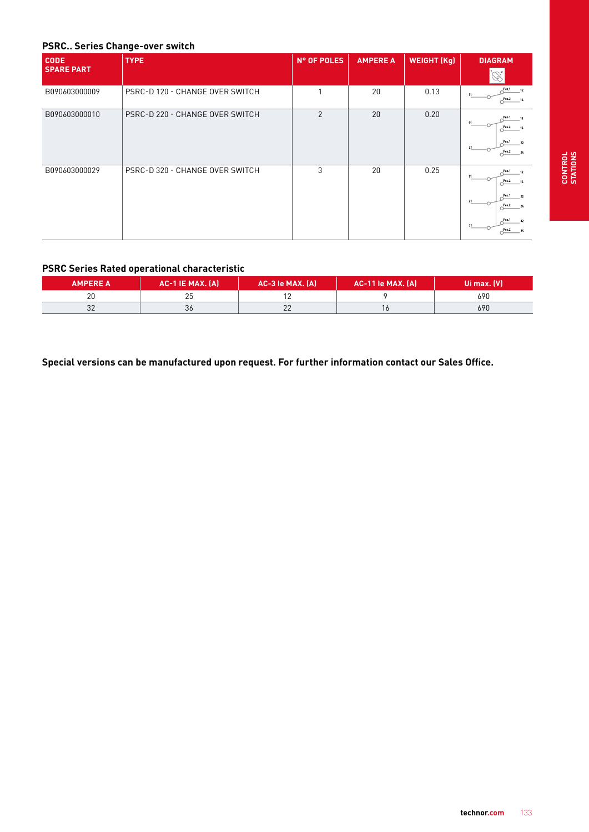#### **PSRC.. Series Change-over switch**

| <b>CODE</b>       | <b>TYPE</b>                     | N° OF POLES | <b>AMPERE A</b> | <b>WEIGHT (Kg)</b> | <b>DIAGRAM</b>                                                                                          |
|-------------------|---------------------------------|-------------|-----------------|--------------------|---------------------------------------------------------------------------------------------------------|
| <b>SPARE PART</b> |                                 |             |                 |                    |                                                                                                         |
| B090603000009     | PSRC-D 120 - CHANGE OVER SWITCH |             | 20              | 0.13               | Pos.1<br>12<br>11<br>P <sup>pos 2</sup> 14                                                              |
| B090603000010     | PSRC-D 220 - CHANGE OVER SWITCH | 2           | 20              | 0.20               | Pos <sub>1</sub><br>$-12$<br>Pos2<br>-14<br>Pos.1<br>22<br>21<br>$Pos2$ 24                              |
| B090603000029     | PSRC-D 320 - CHANGE OVER SWITCH | 3           | 20              | 0.25               | Pos 1<br>12<br>$P$ os 2<br>14<br>Pos 1<br>22<br>21<br>Pos2<br>24<br>Pos.1<br>32<br>31<br>$P$ os 2<br>34 |

#### **PSRC Series Rated operational characteristic**

| <b>AMPERE A</b> | $AC-1$ IE MAX. $(A)$ | AC-3 le MAX. (A) | AC-11 le MAX. (A) <sup> </sup> | IUi max. (V) ' |
|-----------------|----------------------|------------------|--------------------------------|----------------|
| ∠ບ              | つに<br>∠J             |                  |                                | 690            |
| ◡▵              | 36                   | ے ے              |                                | 690            |

**Special versions can be manufactured upon request. For further information contact our Sales Office.**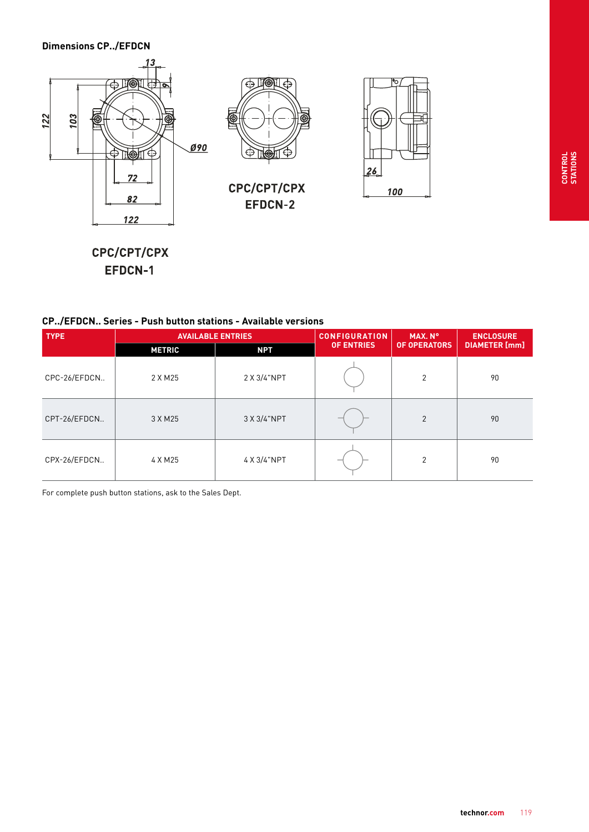#### **Dimensions CP../EFDCN**



CPC/CPT/CPX EFDCN-1

### **CP../EFDCN.. Series - Push button stations - Available versions**

| <b>TYPE</b>  |               | <b>AVAILABLE ENTRIES</b> | <b>CONFIGURATION</b> | MAX. N°             | <b>ENCLOSURE</b>     |  |
|--------------|---------------|--------------------------|----------------------|---------------------|----------------------|--|
|              | <b>METRIC</b> | <b>NPT</b>               | <b>OF ENTRIES</b>    | <b>OF OPERATORS</b> | <b>DIAMETER</b> [mm] |  |
| CPC-26/EFDCN | 2 X M 25      | 2 X 3/4"NPT              |                      | $\overline{2}$      | 90                   |  |
| CPT-26/EFDCN | 3 X M 25      | 3 X 3/4"NPT              |                      | $\overline{2}$      | 90                   |  |
| CPX-26/EFDCN | 4 X M25       | 4 X 3/4"NPT              |                      | $\overline{2}$      | 90                   |  |

For complete push button stations, ask to the Sales Dept.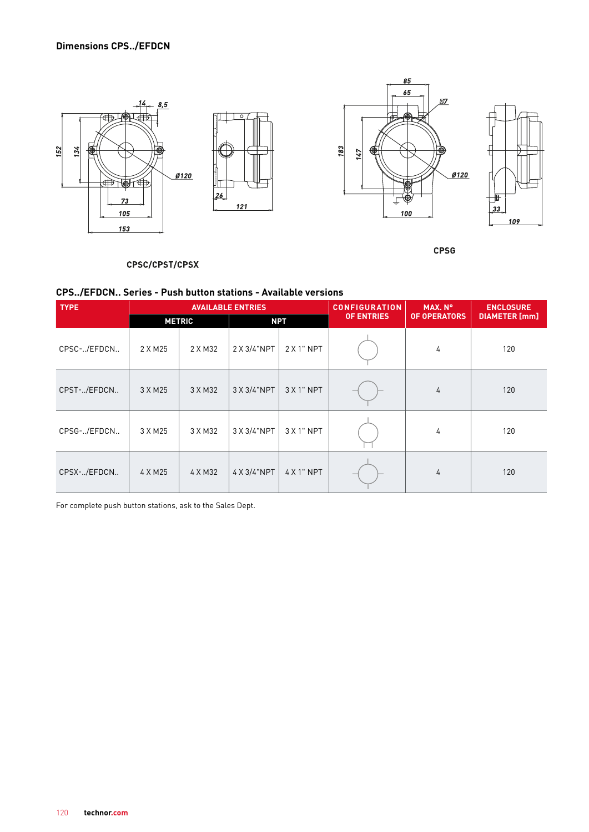

**CPSG** 

#### CPSC/CPST/CPSX

#### **CPS../EFDCN.. Series - Push button stations - Available versions**

| <b>TYPE</b> | <b>AVAILABLE ENTRIES</b> |         |             |            | <b>CONFIGURATION</b> | MAX. N°             | <b>ENCLOSURE</b>     |
|-------------|--------------------------|---------|-------------|------------|----------------------|---------------------|----------------------|
|             | <b>METRIC</b>            |         | <b>NPT</b>  |            | <b>OF ENTRIES</b>    | <b>OF OPERATORS</b> | <b>DIAMETER</b> [mm] |
| CPSC-/EFDCN | 2 X M 25                 | 2 X M32 | 2 X 3/4"NPT | 2 X 1" NPT |                      | 4                   | 120                  |
| CPST-/EFDCN | 3 X M 25                 | 3 X M32 | 3 X 3/4"NPT | $3X1"$ NPT |                      | 4                   | 120                  |
| CPSG-/EFDCN | 3 X M 25                 | 3 X M32 | 3 X 3/4"NPT | 3 X 1" NPT |                      | 4                   | 120                  |
| CPSX-/EFDCN | 4 X M 25                 | 4 X M32 | 4 X 3/4"NPT | 4 X 1" NPT |                      | 4                   | 120                  |

For complete push button stations, ask to the Sales Dept.